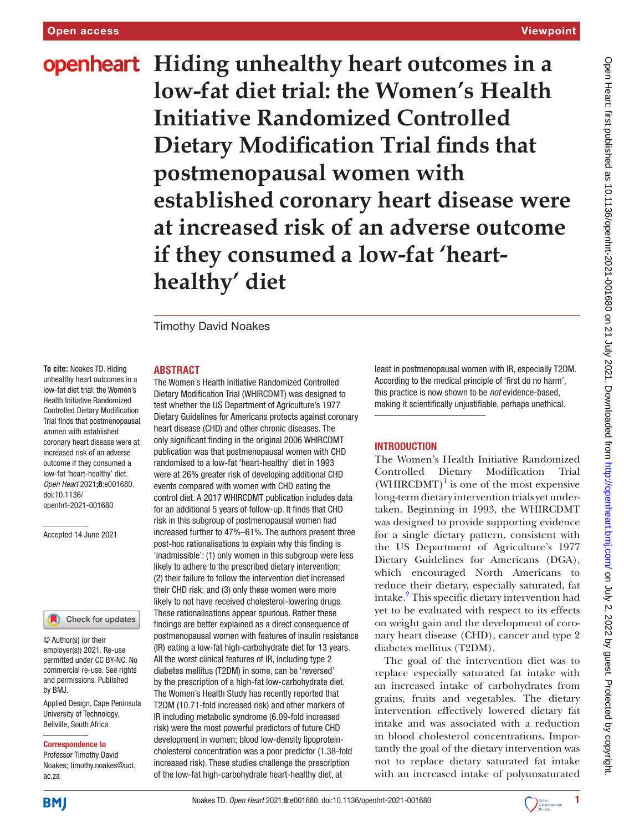**openheart** Hiding unhealthy heart outcomes in a **low-fat diet trial: the Women's Health Initiative Randomized Controlled Dietary Modification Trial finds that postmenopausal women with established coronary heart disease were at increased risk of an adverse outcome if they consumed a low-fat 'hearthealthy' diet**

Timothy David Noakes

#### **ABSTRACT**

**To cite:** Noakes TD. Hiding unhealthy heart outcomes in a low-fat diet trial: the Women's Health Initiative Randomized Controlled Dietary Modification Trial finds that postmenopausal women with established coronary heart disease were at increased risk of an adverse outcome if they consumed a low-fat 'heart-healthy' diet*. Open Heart* 2021;8:e001680. doi:10.1136/ openhrt-2021-001680

Accepted 14 June 2021

#### Check for updates

© Author(s) (or their employer(s)) 2021. Re-use permitted under CC BY-NC. No commercial re-use. See rights and permissions. Published by BMJ.

Applied Design, Cape Peninsula University of Technology, Bellville, South Africa

#### Correspondence to

Professor Timothy David Noakes; timothy.noakes@uct. ac.za

The Women's Health Initiative Randomized Controlled Dietary Modification Trial (WHIRCDMT) was designed to test whether the US Department of Agriculture's 1977 Dietary Guidelines for Americans protects against coronary heart disease (CHD) and other chronic diseases. The only significant finding in the original 2006 WHIRCDMT publication was that postmenopausal women with CHD randomised to a low-fat 'heart-healthy' diet in 1993 were at 26% greater risk of developing additional CHD events compared with women with CHD eating the control diet. A 2017 WHIRCDMT publication includes data for an additional 5 years of follow-up. It finds that CHD risk in this subgroup of postmenopausal women had increased further to 47%–61%. The authors present three post-hoc rationalisations to explain why this finding is 'inadmissible': (1) only women in this subgroup were less likely to adhere to the prescribed dietary intervention; (2) their failure to follow the intervention diet increased their CHD risk; and (3) only these women were more likely to not have received cholesterol-lowering drugs. These rationalisations appear spurious. Rather these findings are better explained as a direct consequence of postmenopausal women with features of insulin resistance (IR) eating a low-fat high-carbohydrate diet for 13 years. All the worst clinical features of IR, including type 2 diabetes mellitus (T2DM) in some, can be 'reversed' by the prescription of a high-fat low-carbohydrate diet. The Women's Health Study has recently reported that T2DM (10.71-fold increased risk) and other markers of IR including metabolic syndrome (6.09-fold increased risk) were the most powerful predictors of future CHD development in women; blood low-density lipoproteincholesterol concentration was a poor predictor (1.38-fold increased risk). These studies challenge the prescription of the low-fat high-carbohydrate heart-healthy diet, at

least in postmenopausal women with IR, especially T2DM. According to the medical principle of 'first do no harm', this practice is now shown to be *not* evidence-based, making it scientifically unjustifiable, perhaps unethical.

#### INTRODUCTION

The Women's Health Initiative Randomized Controlled Dietary Modification Trial  $(WHIRCDMT)^{1}$  $(WHIRCDMT)^{1}$  $(WHIRCDMT)^{1}$  is one of the most expensive long-term dietary intervention trials yet undertaken. Beginning in 1993, the WHIRCDMT was designed to provide supporting evidence for a single dietary pattern, consistent with the US Department of Agriculture's 1977 Dietary Guidelines for Americans (DGA), which encouraged North Americans to reduce their dietary, especially saturated, fat intake.[2](#page-7-1) This specific dietary intervention had yet to be evaluated with respect to its effects on weight gain and the development of coronary heart disease (CHD), cancer and type 2 diabetes mellitus (T2DM).

The goal of the intervention diet was to replace especially saturated fat intake with an increased intake of carbohydrates from grains, fruits and vegetables. The dietary intervention effectively lowered dietary fat intake and was associated with a reduction in blood cholesterol concentrations. Importantly the goal of the dietary intervention was not to replace dietary saturated fat intake with an increased intake of polyunsaturated



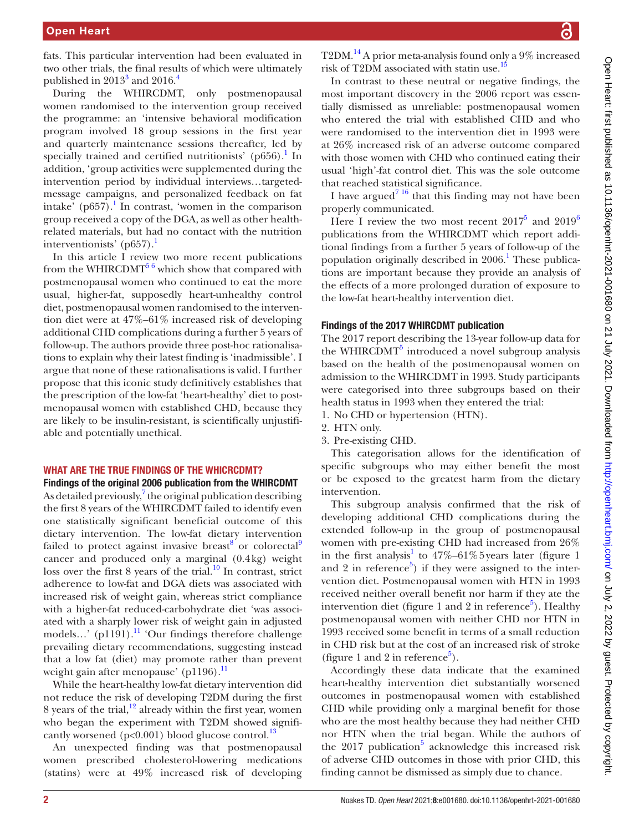fats. This particular intervention had been evaluated in two other trials, the final results of which were ultimately published in  $2013^3$  and  $2016.^4$ 

During the WHIRCDMT, only postmenopausal women randomised to the intervention group received the programme: an 'intensive behavioral modification program involved 18 group sessions in the first year and quarterly maintenance sessions thereafter, led by specially trained and certified nutritionists' (p656).<sup>1</sup> In addition, 'group activities were supplemented during the intervention period by individual interviews…targetedmessage campaigns, and personalized feedback on fat intake' ( $p657$ ).<sup>[1](#page-7-0)</sup> In contrast, 'women in the comparison group received a copy of the DGA, as well as other healthrelated materials, but had no contact with the nutrition interventionists' (p657).<sup>1</sup>

In this article I review two more recent publications from the WHIRCDMT<sup>56</sup> which show that compared with postmenopausal women who continued to eat the more usual, higher-fat, supposedly heart-unhealthy control diet, postmenopausal women randomised to the intervention diet were at 47%–61% increased risk of developing additional CHD complications during a further 5 years of follow-up. The authors provide three post-hoc rationalisations to explain why their latest finding is 'inadmissible'. I argue that none of these rationalisations is valid. I further propose that this iconic study definitively establishes that the prescription of the low-fat 'heart-healthy' diet to postmenopausal women with established CHD, because they are likely to be insulin-resistant, is scientifically unjustifiable and potentially unethical.

#### WHAT ARE THE TRUE FINDINGS OF THE WHICRCDMT?

#### Findings of the original 2006 publication from the WHIRCDMT

As detailed previously, $^7$  $^7$  the original publication describing the first 8 years of the WHIRCDMT failed to identify even one statistically significant beneficial outcome of this dietary intervention. The low-fat dietary intervention failed to protect against invasive breast<sup>[8](#page-7-6)</sup> or colorectal<sup>[9](#page-7-7)</sup> cancer and produced only a marginal (0.4kg) weight loss over the first 8 years of the trial. $^{10}$  In contrast, strict adherence to low-fat and DGA diets was associated with increased risk of weight gain, whereas strict compliance with a higher-fat reduced-carbohydrate diet 'was associated with a sharply lower risk of weight gain in adjusted models...' (p1191).<sup>11</sup> 'Our findings therefore challenge prevailing dietary recommendations, suggesting instead that a low fat (diet) may promote rather than prevent weight gain after menopause' (p[11](#page-7-9)96). $^{11}$ 

While the heart-healthy low-fat dietary intervention did not reduce the risk of developing T2DM during the first 8 years of the trial, $12$  already within the first year, women who began the experiment with T2DM showed significantly worsened ( $p<0.001$ ) blood glucose control.<sup>13</sup>

An unexpected finding was that postmenopausal women prescribed cholesterol-lowering medications (statins) were at 49% increased risk of developing T2DM[.14](#page-7-12) A prior meta-analysis found only a 9% increased risk of T2DM associated with statin use.<sup>[15](#page-7-13)</sup>

In contrast to these neutral or negative findings, the most important discovery in the 2006 report was essentially dismissed as unreliable: postmenopausal women who entered the trial with established CHD and who were randomised to the intervention diet in 1993 were at 26% increased risk of an adverse outcome compared with those women with CHD who continued eating their usual 'high'-fat control diet. This was the sole outcome that reached statistical significance.

I have argued<sup>7 16</sup> that this finding may not have been properly communicated.

Here I review the two most recent  $2017^5$  and  $2019^6$ publications from the WHIRCDMT which report additional findings from a further 5 years of follow-up of the population originally described in 2006.<sup>[1](#page-7-0)</sup> These publications are important because they provide an analysis of the effects of a more prolonged duration of exposure to the low-fat heart-healthy intervention diet.

#### Findings of the 2017 WHIRCDMT publication

The 2017 report describing the 13-year follow-up data for the WHIRCDMT<sup>[5](#page-7-4)</sup> introduced a novel subgroup analysis based on the health of the postmenopausal women on admission to the WHIRCDMT in 1993. Study participants were categorised into three subgroups based on their health status in 1993 when they entered the trial:

- 1. No CHD or hypertension (HTN).
- 2. HTN only.
- 3. Pre-existing CHD.

This categorisation allows for the identification of specific subgroups who may either benefit the most or be exposed to the greatest harm from the dietary intervention.

This subgroup analysis confirmed that the risk of developing additional CHD complications during the extended follow-up in the group of postmenopausal women with pre-existing CHD had increased from 26% in the first analysis<sup>[1](#page-7-0)</sup> to  $47\% - 61\%$  5 years later (figure 1 and 2 in reference<sup>[5](#page-7-4)</sup>) if they were assigned to the intervention diet. Postmenopausal women with HTN in 1993 received neither overall benefit nor harm if they ate the intervention diet (figure 1 and 2 in reference<sup>5</sup>). Healthy postmenopausal women with neither CHD nor HTN in 1993 received some benefit in terms of a small reduction in CHD risk but at the cost of an increased risk of stroke (figure 1 and 2 in reference<sup>[5](#page-7-4)</sup>).

Accordingly these data indicate that the examined heart-healthy intervention diet substantially worsened outcomes in postmenopausal women with established CHD while providing only a marginal benefit for those who are the most healthy because they had neither CHD nor HTN when the trial began. While the authors of the  $2017$  publication<sup>5</sup> acknowledge this increased risk of adverse CHD outcomes in those with prior CHD, this finding cannot be dismissed as simply due to chance.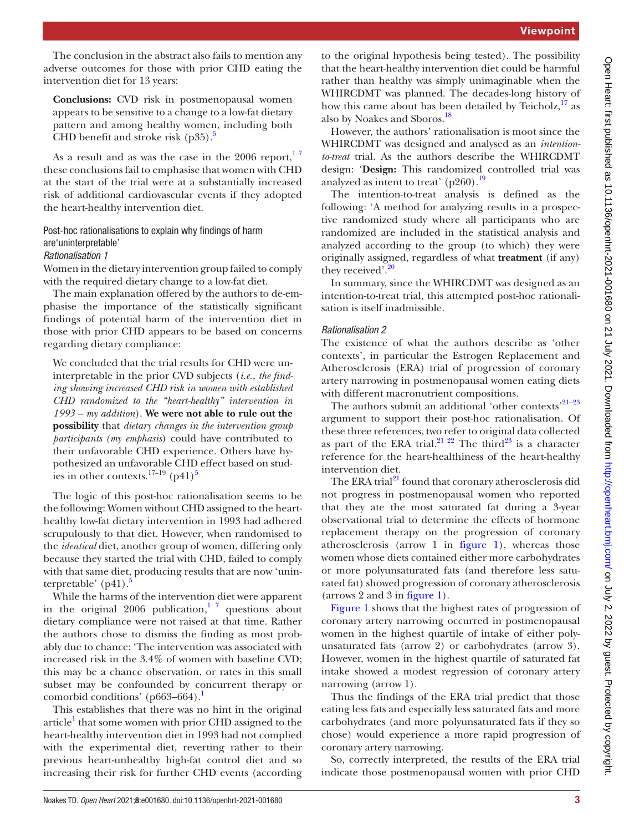The conclusion in the abstract also fails to mention any adverse outcomes for those with prior CHD eating the intervention diet for 13 years:

**Conclusions:** CVD risk in postmenopausal women appears to be sensitive to a change to a low-fat dietary pattern and among healthy women, including both CHD benefit and stroke risk  $(p35)$ .<sup>5</sup>

As a result and as was the case in the  $2006$  report,  $17$ these conclusions fail to emphasise that women with CHD at the start of the trial were at a substantially increased risk of additional cardiovascular events if they adopted the heart-healthy intervention diet.

# Post-hoc rationalisations to explain why findings of harm are'uninterpretable'

### *Rationalisation 1*

Women in the dietary intervention group failed to comply with the required dietary change to a low-fat diet.

The main explanation offered by the authors to de-emphasise the importance of the statistically significant findings of potential harm of the intervention diet in those with prior CHD appears to be based on concerns regarding dietary compliance:

We concluded that the trial results for CHD were uninterpretable in the prior CVD subjects (*i.e., the finding showing increased CHD risk in women with established CHD randomized to the "heart-healthy" intervention in 1993 – my addition*). **We were not able to rule out the possibility** that *dietary changes in the intervention group participants (my emphasis*) could have contributed to their unfavorable CHD experience. Others have hypothesized an unfavorable CHD effect based on studies in other contexts.<sup>17–19</sup> (p41)<sup>5</sup>

The logic of this post-hoc rationalisation seems to be the following: Women without CHD assigned to the hearthealthy low-fat dietary intervention in 1993 had adhered scrupulously to that diet. However, when randomised to the *identical* diet, another group of women, differing only because they started the trial with CHD, failed to comply with that same diet, producing results that are now 'uninterpretable'  $(p41)$ .

While the harms of the intervention diet were apparent in the original  $2006$  publication,<sup>17</sup> questions about dietary compliance were not raised at that time. Rather the authors chose to dismiss the finding as most probably due to chance: 'The intervention was associated with increased risk in the 3.4% of women with baseline CVD; this may be a chance observation, or rates in this small subset may be confounded by concurrent therapy or comorbid conditions' ( $p663-664$ ).<sup>[1](#page-7-0)</sup>

This establishes that there was no hint in the original article<sup>[1](#page-7-0)</sup> that some women with prior CHD assigned to the heart-healthy intervention diet in 1993 had not complied with the experimental diet, reverting rather to their previous heart-unhealthy high-fat control diet and so increasing their risk for further CHD events (according

to the original hypothesis being tested). The possibility that the heart-healthy intervention diet could be harmful rather than healthy was simply unimaginable when the WHIRCDMT was planned. The decades-long history of how this came about has been detailed by Teicholz, $^{17}$  $^{17}$  $^{17}$  as also by Noakes and Sboros.<sup>18</sup>

However, the authors' rationalisation is moot since the WHIRCDMT was designed and analysed as an *intentionto-treat* trial. As the authors describe the WHIRCDMT design: '**Design:** This randomized controlled trial was analyzed as intent to treat' (p260).<sup>[19](#page-7-17)</sup>

The intention-to-treat analysis is defined as the following: 'A method for analyzing results in a prospective randomized study where all participants who are randomized are included in the statistical analysis and analyzed according to the group (to which) they were originally assigned, regardless of what **treatment** (if any) they received'.<sup>[20](#page-7-18)</sup>

In summary, since the WHIRCDMT was designed as an intention-to-treat trial, this attempted post-hoc rationalisation is itself inadmissible.

# *Rationalisation 2*

The existence of what the authors describe as 'other contexts', in particular the Estrogen Replacement and Atherosclerosis (ERA) trial of progression of coronary artery narrowing in postmenopausal women eating diets with different macronutrient compositions.

The authors submit an additional 'other contexts'<sup>21-23</sup> argument to support their post-hoc rationalisation. Of these three references, two refer to original data collected as part of the ERA trial.<sup>21 22</sup> The third<sup>23</sup> is a character reference for the heart-healthiness of the heart-healthy intervention diet.

The ERA trial<sup>21</sup> found that coronary atherosclerosis did not progress in postmenopausal women who reported that they ate the most saturated fat during a 3-year observational trial to determine the effects of hormone replacement therapy on the progression of coronary atherosclerosis (arrow 1 in [figure](#page-3-0) 1), whereas those women whose diets contained either more carbohydrates or more polyunsaturated fats (and therefore less saturated fat) showed progression of coronary atherosclerosis (arrows 2 and 3 in [figure](#page-3-0) 1).

[Figure](#page-3-0) 1 shows that the highest rates of progression of coronary artery narrowing occurred in postmenopausal women in the highest quartile of intake of either polyunsaturated fats (arrow 2) or carbohydrates (arrow 3). However, women in the highest quartile of saturated fat intake showed a modest regression of coronary artery narrowing (arrow 1).

Thus the findings of the ERA trial predict that those eating less fats and especially less saturated fats and more carbohydrates (and more polyunsaturated fats if they so chose) would experience a more rapid progression of coronary artery narrowing.

So, correctly interpreted, the results of the ERA trial indicate those postmenopausal women with prior CHD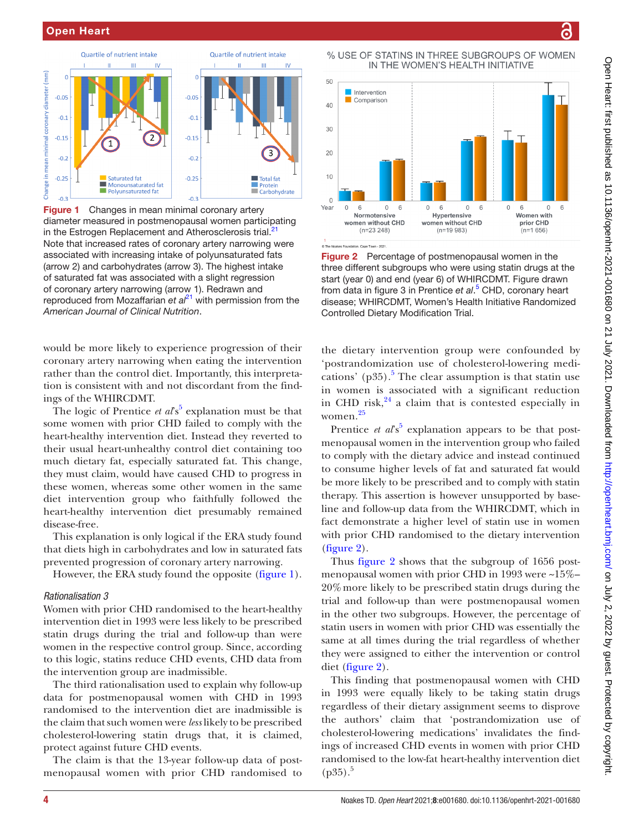

<span id="page-3-0"></span>Figure 1 Changes in mean minimal coronary artery diameter measured in postmenopausal women participating in the Estrogen Replacement and Atherosclerosis trial.<sup>21</sup> Note that increased rates of coronary artery narrowing were associated with increasing intake of polyunsaturated fats (arrow 2) and carbohydrates (arrow 3). The highest intake of saturated fat was associated with a slight regression of coronary artery narrowing (arrow 1). Redrawn and reproduced from Mozaffarian *et al*<sup>[21](#page-7-19)</sup> with permission from the *American Journal of Clinical Nutrition*.

would be more likely to experience progression of their coronary artery narrowing when eating the intervention rather than the control diet. Importantly, this interpretation is consistent with and not discordant from the findings of the WHIRCDMT.

The logic of Prentice  $et$   $a\ell s^5$  $a\ell s^5$  explanation must be that some women with prior CHD failed to comply with the heart-healthy intervention diet. Instead they reverted to their usual heart-unhealthy control diet containing too much dietary fat, especially saturated fat. This change, they must claim, would have caused CHD to progress in these women, whereas some other women in the same diet intervention group who faithfully followed the heart-healthy intervention diet presumably remained disease-free.

This explanation is only logical if the ERA study found that diets high in carbohydrates and low in saturated fats prevented progression of coronary artery narrowing.

However, the ERA study found the opposite [\(figure](#page-3-0) 1).

#### *Rationalisation 3*

Women with prior CHD randomised to the heart-healthy intervention diet in 1993 were less likely to be prescribed statin drugs during the trial and follow-up than were women in the respective control group. Since, according to this logic, statins reduce CHD events, CHD data from the intervention group are inadmissible.

The third rationalisation used to explain why follow-up data for postmenopausal women with CHD in 1993 randomised to the intervention diet are inadmissible is the claim that such women were *less* likely to be prescribed cholesterol-lowering statin drugs that, it is claimed, protect against future CHD events.

The claim is that the 13-year follow-up data of postmenopausal women with prior CHD randomised to

% USE OF STATINS IN THREE SUBGROUPS OF WOMEN IN THE WOMEN'S HEALTH INITIATIVE



<span id="page-3-1"></span>The Noakes Foundation, Cape Town - 2021

Figure 2 Percentage of postmenopausal women in the three different subgroups who were using statin drugs at the start (year 0) and end (year 6) of WHIRCDMT. Figure drawn from data in figure 3 in Prentice *et al*. [5](#page-7-4) CHD, coronary heart disease; WHIRCDMT, Women's Health Initiative Randomized Controlled Dietary Modification Trial.

the dietary intervention group were confounded by 'postrandomization use of cholesterol-lowering medi-cations' (p3[5](#page-7-4)).<sup>5</sup> The clear assumption is that statin use in women is associated with a significant reduction in CHD risk, $24$  a claim that is contested especially in women.[25](#page-7-22)

Prentice  $et$   $a\ell s^5$  $a\ell s^5$  explanation appears to be that postmenopausal women in the intervention group who failed to comply with the dietary advice and instead continued to consume higher levels of fat and saturated fat would be more likely to be prescribed and to comply with statin therapy. This assertion is however unsupported by baseline and follow-up data from the WHIRCDMT, which in fact demonstrate a higher level of statin use in women with prior CHD randomised to the dietary intervention [\(figure](#page-3-1) 2).

Thus [figure](#page-3-1) 2 shows that the subgroup of 1656 postmenopausal women with prior CHD in 1993 were ~15%– 20%more likely to be prescribed statin drugs during the trial and follow-up than were postmenopausal women in the other two subgroups. However, the percentage of statin users in women with prior CHD was essentially the same at all times during the trial regardless of whether they were assigned to either the intervention or control diet ([figure](#page-3-1) 2).

This finding that postmenopausal women with CHD in 1993 were equally likely to be taking statin drugs regardless of their dietary assignment seems to disprove the authors' claim that 'postrandomization use of cholesterol-lowering medications' invalidates the findings of increased CHD events in women with prior CHD randomised to the low-fat heart-healthy intervention diet  $(p35).$ <sup>5</sup>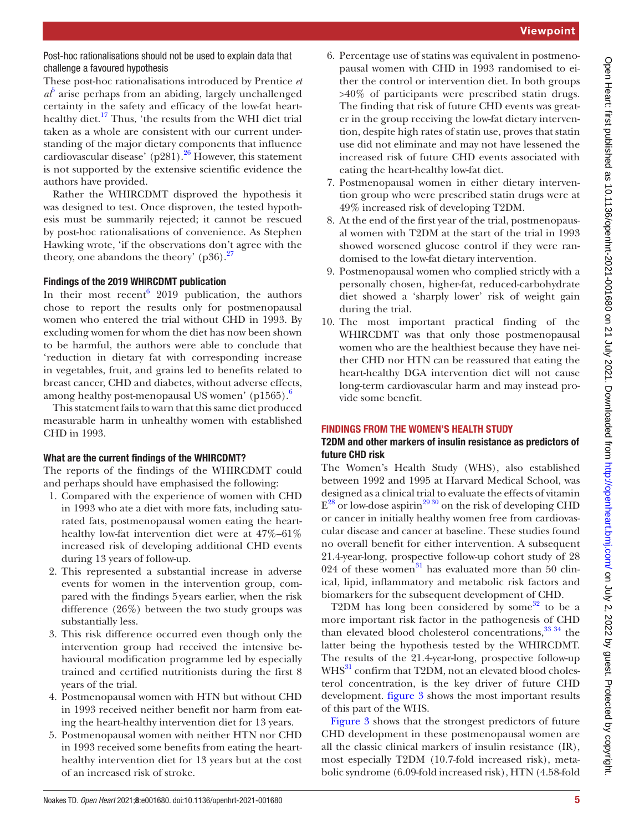Post-hoc rationalisations should not be used to explain data that challenge a favoured hypothesis

These post-hoc rationalisations introduced by Prentice *et*   $a\bar{b}$  arise perhaps from an abiding, largely unchallenged certainty in the safety and efficacy of the low-fat hearthealthy diet.<sup>17</sup> Thus, 'the results from the WHI diet trial taken as a whole are consistent with our current understanding of the major dietary components that influence cardiovascular disease' (p281).<sup>26</sup> However, this statement is not supported by the extensive scientific evidence the authors have provided.

Rather the WHIRCDMT disproved the hypothesis it was designed to test. Once disproven, the tested hypothesis must be summarily rejected; it cannot be rescued by post-hoc rationalisations of convenience. As Stephen Hawking wrote, 'if the observations don't agree with the theory, one abandons the theory'  $(p36)$ .<sup>[27](#page-7-24)</sup>

# Findings of the 2019 WHIRCDMT publication

In their most recent<sup>[6](#page-7-14)</sup> 2019 publication, the authors chose to report the results only for postmenopausal women who entered the trial without CHD in 1993. By excluding women for whom the diet has now been shown to be harmful, the authors were able to conclude that 'reduction in dietary fat with corresponding increase in vegetables, fruit, and grains led to benefits related to breast cancer, CHD and diabetes, without adverse effects, among healthy post-menopausal US women' (p15[6](#page-7-14)5).<sup>6</sup>

This statement fails to warn that this same diet produced measurable harm in unhealthy women with established CHD in 1993.

# What are the current findings of the WHIRCDMT?

The reports of the findings of the WHIRCDMT could and perhaps should have emphasised the following:

- 1. Compared with the experience of women with CHD in 1993 who ate a diet with more fats, including saturated fats, postmenopausal women eating the hearthealthy low-fat intervention diet were at 47%–61% increased risk of developing additional CHD events during 13 years of follow-up.
- 2. This represented a substantial increase in adverse events for women in the intervention group, compared with the findings 5years earlier, when the risk difference (26%) between the two study groups was substantially less.
- 3. This risk difference occurred even though only the intervention group had received the intensive behavioural modification programme led by especially trained and certified nutritionists during the first 8 years of the trial.
- 4. Postmenopausal women with HTN but without CHD in 1993 received neither benefit nor harm from eating the heart-healthy intervention diet for 13 years.
- 5. Postmenopausal women with neither HTN nor CHD in 1993 received some benefits from eating the hearthealthy intervention diet for 13 years but at the cost of an increased risk of stroke.
- 6. Percentage use of statins was equivalent in postmenopausal women with CHD in 1993 randomised to either the control or intervention diet. In both groups >40% of participants were prescribed statin drugs. The finding that risk of future CHD events was greater in the group receiving the low-fat dietary intervention, despite high rates of statin use, proves that statin use did not eliminate and may not have lessened the increased risk of future CHD events associated with eating the heart-healthy low-fat diet.
- 7. Postmenopausal women in either dietary intervention group who were prescribed statin drugs were at 49% increased risk of developing T2DM.
- 8. At the end of the first year of the trial, postmenopausal women with T2DM at the start of the trial in 1993 showed worsened glucose control if they were randomised to the low-fat dietary intervention.
- 9. Postmenopausal women who complied strictly with a personally chosen, higher-fat, reduced-carbohydrate diet showed a 'sharply lower' risk of weight gain during the trial.
- 10. The most important practical finding of the WHIRCDMT was that only those postmenopausal women who are the healthiest because they have neither CHD nor HTN can be reassured that eating the heart-healthy DGA intervention diet will not cause long-term cardiovascular harm and may instead provide some benefit.

# FINDINGS FROM THE WOMEN'S HEALTH STUDY

# T2DM and other markers of insulin resistance as predictors of future CHD risk

The Women's Health Study (WHS), also established between 1992 and 1995 at Harvard Medical School, was designed as a clinical trial to evaluate the effects of vitamin  $E^{28}$  or low-dose aspirin<sup>2930</sup> on the risk of developing CHD or cancer in initially healthy women free from cardiovascular disease and cancer at baseline. These studies found no overall benefit for either intervention. A subsequent 21.4-year-long, prospective follow-up cohort study of 28 024 of these women<sup>31</sup> has evaluated more than 50 clinical, lipid, inflammatory and metabolic risk factors and biomarkers for the subsequent development of CHD.

T2DM has long been considered by some $32$  to be a more important risk factor in the pathogenesis of CHD than elevated blood cholesterol concentrations,  $33\frac{34}{1}$  the latter being the hypothesis tested by the WHIRCDMT. The results of the 21.4-year-long, prospective follow-up WHS<sup>31</sup> confirm that T2DM, not an elevated blood cholesterol concentration, is the key driver of future CHD development. [figure](#page-5-0) 3 shows the most important results of this part of the WHS.

[Figure](#page-5-0) 3 shows that the strongest predictors of future CHD development in these postmenopausal women are all the classic clinical markers of insulin resistance (IR), most especially T2DM (10.7-fold increased risk), metabolic syndrome (6.09-fold increased risk), HTN (4.58-fold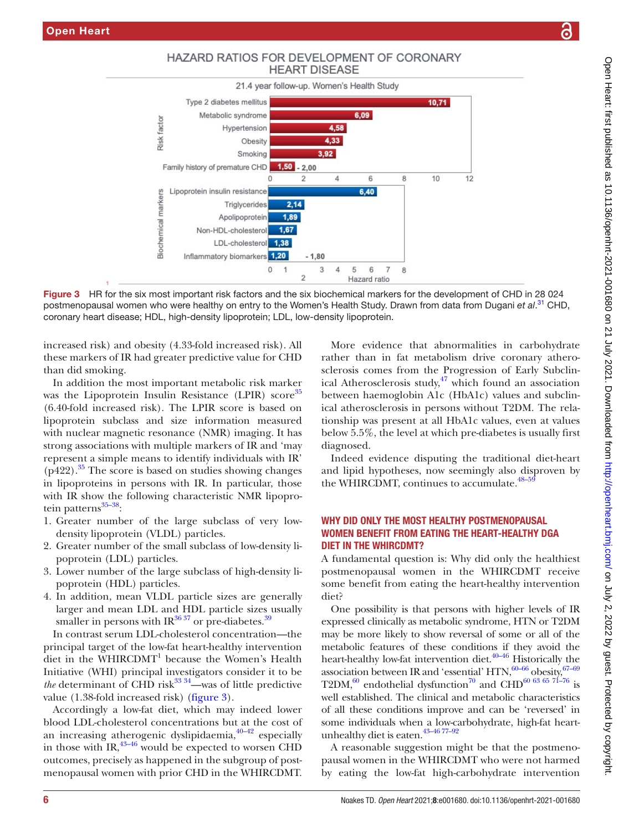

<span id="page-5-0"></span>Figure 3 HR for the six most important risk factors and the six biochemical markers for the development of CHD in 28 024 postmenopausal women who were healthy on entry to the Women's Health Study. Drawn from data from Dugani *et al*. [31](#page-7-27) CHD, coronary heart disease; HDL, high-density lipoprotein; LDL, low-density lipoprotein.

increased risk) and obesity (4.33-fold increased risk). All these markers of IR had greater predictive value for CHD than did smoking.

In addition the most important metabolic risk marker was the Lipoprotein Insulin Resistance (LPIR) score<sup>35</sup> (6.40-fold increased risk). The LPIR score is based on lipoprotein subclass and size information measured with nuclear magnetic resonance (NMR) imaging. It has strong associations with multiple markers of IR and 'may represent a simple means to identify individuals with IR'  $(p422)$ .<sup>35</sup> The score is based on studies showing changes in lipoproteins in persons with IR. In particular, those with IR show the following characteristic NMR lipoprotein patterns $35-38$ :

- 1. Greater number of the large subclass of very lowdensity lipoprotein (VLDL) particles.
- 2. Greater number of the small subclass of low-density lipoprotein (LDL) particles.
- 3. Lower number of the large subclass of high-density lipoprotein (HDL) particles.
- 4. In addition, mean VLDL particle sizes are generally larger and mean LDL and HDL particle sizes usually smaller in persons with IR $^{36\,37}$  or pre-diabetes. $^{39}$

In contrast serum LDL-cholesterol concentration—the principal target of the low-fat heart-healthy intervention diet in the WHIRCDMT<sup>1</sup> because the Women's Health Initiative (WHI) principal investigators consider it to be *the* determinant of CHD risk $^{33}$ <sup>34</sup>—was of little predictive value (1.38-fold increased risk) ([figure](#page-5-0) 3).

Accordingly a low-fat diet, which may indeed lower blood LDL-cholesterol concentrations but at the cost of an increasing atherogenic dyslipidaemia, $40-42$  especially in those with  $IR<sub>1</sub><sup>43–46</sup>$  would be expected to worsen CHD outcomes, precisely as happened in the subgroup of postmenopausal women with prior CHD in the WHIRCDMT.

More evidence that abnormalities in carbohydrate rather than in fat metabolism drive coronary atherosclerosis comes from the Progression of Early Subclinical Atherosclerosis study,<sup>47</sup> which found an association between haemoglobin A1c (HbA1c) values and subclinical atherosclerosis in persons without T2DM. The relationship was present at all HbA1c values, even at values below 5.5%, the level at which pre-diabetes is usually first diagnosed.

Indeed evidence disputing the traditional diet-heart and lipid hypotheses, now seemingly also disproven by the WHIRCDMT, continues to accumulate.<sup>48-5</sup>

# WHY DID ONLY THE MOST HEALTHY POSTMENOPAUSAL WOMEN BENEFIT FROM EATING THE HEART-HEALTHY DGA DIET IN THE WHIRCDMT?

A fundamental question is: Why did only the healthiest postmenopausal women in the WHIRCDMT receive some benefit from eating the heart-healthy intervention diet?

One possibility is that persons with higher levels of IR expressed clinically as metabolic syndrome, HTN or T2DM may be more likely to show reversal of some or all of the metabolic features of these conditions if they avoid the heart-healthy low-fat intervention diet[.40–46](#page-7-33) Historically the association between IR and 'essential'  $HTN$ ,  $60-66$  obesity,  $67-69$ T2DM, $^{60}$  $^{60}$  $^{60}$  endothelial dysfunction<sup>70</sup> and CHD<sup>60 63 65 71–76</sup> is well established. The clinical and metabolic characteristics of all these conditions improve and can be 'reversed' in some individuals when a low-carbohydrate, high-fat heartunhealthy diet is eaten.<sup>43-46 77-92</sup>

A reasonable suggestion might be that the postmenopausal women in the WHIRCDMT who were not harmed by eating the low-fat high-carbohydrate intervention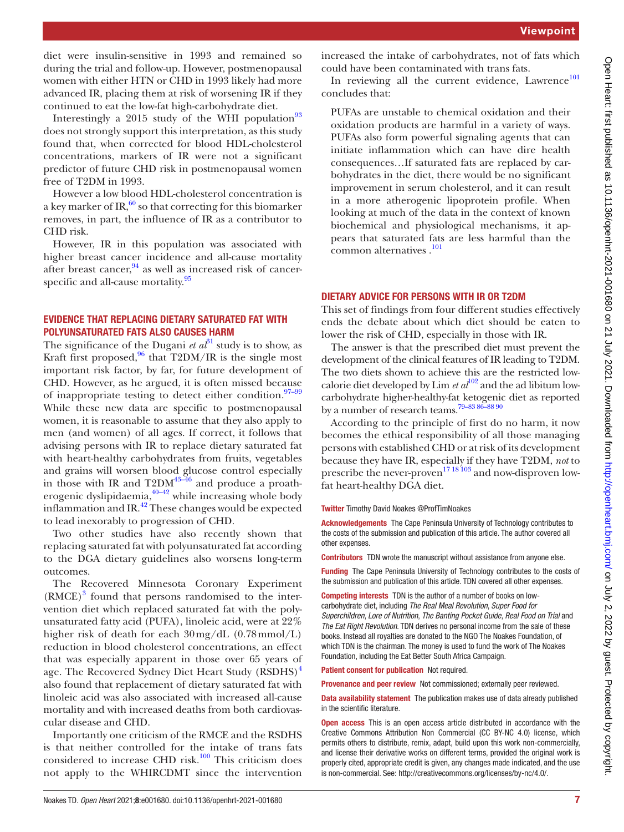diet were insulin-sensitive in 1993 and remained so during the trial and follow-up. However, postmenopausal women with either HTN or CHD in 1993 likely had more advanced IR, placing them at risk of worsening IR if they continued to eat the low-fat high-carbohydrate diet.

Interestingly a 2015 study of the WHI population $93$ does not strongly support this interpretation, as this study found that, when corrected for blood HDL-cholesterol concentrations, markers of IR were not a significant predictor of future CHD risk in postmenopausal women free of T2DM in 1993.

However a low blood HDL-cholesterol concentration is a key marker of IR, $\frac{60}{6}$  so that correcting for this biomarker removes, in part, the influence of IR as a contributor to CHD risk.

However, IR in this population was associated with higher breast cancer incidence and all-cause mortality after breast cancer,  $94$  as well as increased risk of cancer-specific and all-cause mortality.<sup>[95](#page-8-5)</sup>

#### EVIDENCE THAT REPLACING DIETARY SATURATED FAT WITH POLYUNSATURATED FATS ALSO CAUSES HARM

The significance of the Dugani *et*  $a<sup>{31}</sup>$  study is to show, as Kraft first proposed,  $96$  that T2DM/IR is the single most important risk factor, by far, for future development of CHD. However, as he argued, it is often missed because of inappropriate testing to detect either condition.<sup>97-99</sup> While these new data are specific to postmenopausal women, it is reasonable to assume that they also apply to men (and women) of all ages. If correct, it follows that advising persons with IR to replace dietary saturated fat with heart-healthy carbohydrates from fruits, vegetables and grains will worsen blood glucose control especially in those with IR and  $T2DM^{43-46}$  and produce a proatherogenic dyslipidaemia, $40-42$  while increasing whole body inflammation and IR. $^{42}$  These changes would be expected to lead inexorably to progression of CHD.

Two other studies have also recently shown that replacing saturated fat with polyunsaturated fat according to the DGA dietary guidelines also worsens long-term outcomes.

The Recovered Minnesota Coronary Experiment  $(RMCE)^3$  $(RMCE)^3$  found that persons randomised to the intervention diet which replaced saturated fat with the polyunsaturated fatty acid (PUFA), linoleic acid, were at 22% higher risk of death for each  $30 \,\text{mg/dL}$  (0.78mmol/L) reduction in blood cholesterol concentrations, an effect that was especially apparent in those over 65 years of age. The Recovered Sydney Diet Heart Study (RSDHS)<sup>[4](#page-7-3)</sup> also found that replacement of dietary saturated fat with linoleic acid was also associated with increased all-cause mortality and with increased deaths from both cardiovascular disease and CHD.

Importantly one criticism of the RMCE and the RSDHS is that neither controlled for the intake of trans fats considered to increase CHD risk.<sup>100</sup> This criticism does not apply to the WHIRCDMT since the intervention

increased the intake of carbohydrates, not of fats which could have been contaminated with trans fats.

In reviewing all the current evidence, Lawrence<sup>101</sup> concludes that:

PUFAs are unstable to chemical oxidation and their oxidation products are harmful in a variety of ways. PUFAs also form powerful signaling agents that can initiate inflammation which can have dire health consequences…If saturated fats are replaced by carbohydrates in the diet, there would be no significant improvement in serum cholesterol, and it can result in a more atherogenic lipoprotein profile. When looking at much of the data in the context of known biochemical and physiological mechanisms, it appears that saturated fats are less harmful than the common alternatives .<sup>101</sup>

#### DIETARY ADVICE FOR PERSONS WITH IR OR T2DM

This set of findings from four different studies effectively ends the debate about which diet should be eaten to lower the risk of CHD, especially in those with IR.

The answer is that the prescribed diet must prevent the development of the clinical features of IR leading to T2DM. The two diets shown to achieve this are the restricted lowcalorie diet developed by Lim  $et al^{102}$  $et al^{102}$  $et al^{102}$  and the ad libitum lowcarbohydrate higher-healthy-fat ketogenic diet as reported by a number of research teams[.79–83 86–88 90](#page-8-11)

According to the principle of first do no harm, it now becomes the ethical responsibility of all those managing persons with established CHD or at risk of its development because they have IR, especially if they have T2DM, *not* to prescribe the never-proven<sup>1718103</sup> and now-disproven lowfat heart-healthy DGA diet.

Twitter Timothy David Noakes [@ProfTimNoakes](https://twitter.com/ProfTimNoakes)

Acknowledgements The Cape Peninsula University of Technology contributes to the costs of the submission and publication of this article. The author covered all other expenses.

Contributors TDN wrote the manuscript without assistance from anyone else.

Funding The Cape Peninsula University of Technology contributes to the costs of the submission and publication of this article. TDN covered all other expenses.

Competing interests TDN is the author of a number of books on lowcarbohydrate diet, including *The Real Meal Revolution*, *Super Food for Superchildren*, *Lore of Nutrition*, *The Banting Pocket Guide*, *Real Food on Trial* and *The Eat Right Revolution*. TDN derives no personal income from the sale of these books. Instead all royalties are donated to the NGO The Noakes Foundation, of which TDN is the chairman. The money is used to fund the work of The Noakes Foundation, including the Eat Better South Africa Campaign.

Patient consent for publication Not required.

Provenance and peer review Not commissioned; externally peer reviewed.

Data availability statement The publication makes use of data already published in the scientific literature.

**Open access** This is an open access article distributed in accordance with the Creative Commons Attribution Non Commercial (CC BY-NC 4.0) license, which permits others to distribute, remix, adapt, build upon this work non-commercially, and license their derivative works on different terms, provided the original work is properly cited, appropriate credit is given, any changes made indicated, and the use is non-commercial. See: [http://creativecommons.org/licenses/by-nc/4.0/.](http://creativecommons.org/licenses/by-nc/4.0/)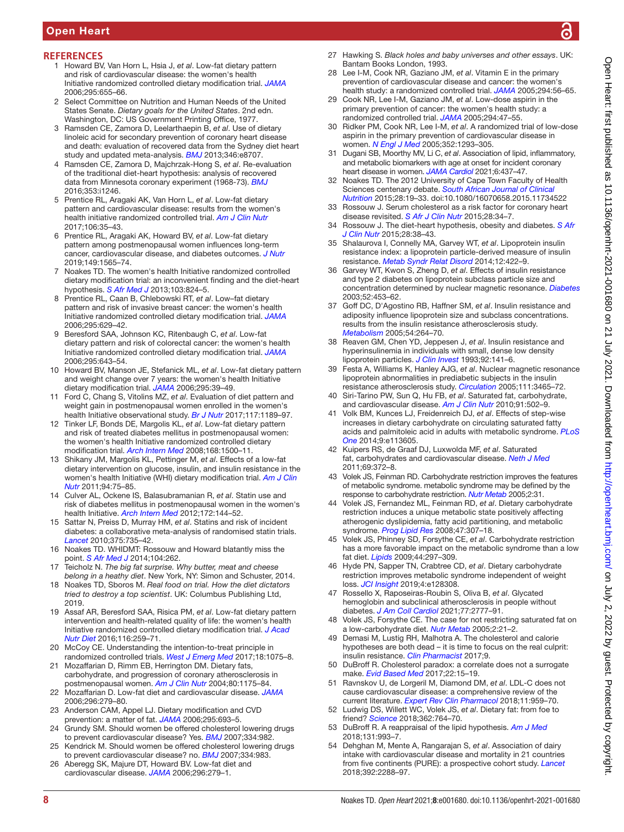# Open Heart

#### <span id="page-7-0"></span>**REFERENCES**

- 1 Howard BV, Van Horn L, Hsia J, *et al*. Low-fat dietary pattern and risk of cardiovascular disease: the women's health Initiative randomized controlled dietary modification trial. *[JAMA](http://dx.doi.org/10.1001/jama.295.6.655)* 2006;295:655–66.
- <span id="page-7-1"></span>2 Select Committee on Nutrition and Human Needs of the United States Senate. *Dietary goals for the United States*. 2nd edn. Washington, DC: US Government Printing Office, 1977.
- <span id="page-7-2"></span>3 Ramsden CE, Zamora D, Leelarthaepin B, *et al*. Use of dietary linoleic acid for secondary prevention of coronary heart disease and death: evaluation of recovered data from the Sydney diet heart study and updated meta-analysis. *[BMJ](http://dx.doi.org/10.1136/bmj.e8707)* 2013;346:e8707.
- <span id="page-7-3"></span>4 Ramsden CE, Zamora D, Majchrzak-Hong S, *et al*. Re-evaluation of the traditional diet-heart hypothesis: analysis of recovered data from Minnesota coronary experiment (1968-73). *[BMJ](http://dx.doi.org/10.1136/bmj.i1246)* 2016;353:i1246.
- <span id="page-7-4"></span>5 Prentice RL, Aragaki AK, Van Horn L, *et al*. Low-fat dietary pattern and cardiovascular disease: results from the women's health initiative randomized controlled trial. *[Am J Clin Nutr](http://dx.doi.org/10.3945/ajcn.117.153270)* 2017;106:35–43.
- <span id="page-7-14"></span>6 Prentice RL, Aragaki AK, Howard BV, *et al*. Low-fat dietary pattern among postmenopausal women influences long-term cancer, cardiovascular disease, and diabetes outcomes. *[J Nutr](http://dx.doi.org/10.1093/jn/nxz107)* 2019;149:1565–74.
- <span id="page-7-5"></span>7 Noakes TD. The women's health Initiative randomized controlled dietary modification trial: an inconvenient finding and the diet-heart hypothesis. *[S Afr Med J](http://dx.doi.org/10.7196/samj.7343)* 2013;103:824–5.
- <span id="page-7-6"></span>8 Prentice RL, Caan B, Chlebowski RT, *et al*. Low–fat dietary pattern and risk of invasive breast cancer: the women's health Initiative randomized controlled dietary modification trial. *[JAMA](http://dx.doi.org/10.1001/jama.295.6.629)* 2006;295:629–42.
- <span id="page-7-7"></span>9 Beresford SAA, Johnson KC, Ritenbaugh C, *et al*. Low-fat dietary pattern and risk of colorectal cancer: the women's health Initiative randomized controlled dietary modification trial. *[JAMA](http://dx.doi.org/10.1001/jama.295.6.643)* 2006;295:643–54.
- <span id="page-7-8"></span>10 Howard BV, Manson JE, Stefanick ML, *et al*. Low-fat dietary pattern and weight change over 7 years: the women's health Initiative dietary modification trial. *[JAMA](http://dx.doi.org/10.1001/jama.295.1.39)* 2006;295:39–49.
- <span id="page-7-9"></span>11 Ford C, Chang S, Vitolins MZ, *et al*. Evaluation of diet pattern and weight gain in postmenopausal women enrolled in the women's health Initiative observational study. *[Br J Nutr](http://dx.doi.org/10.1017/S0007114517000952)* 2017;117:1189–97.
- <span id="page-7-10"></span>12 Tinker LF, Bonds DE, Margolis KL, *et al*. Low-fat dietary pattern and risk of treated diabetes mellitus in postmenopausal women: the women's health Initiative randomized controlled dietary modification trial. *[Arch Intern Med](http://dx.doi.org/10.1001/archinte.168.14.1500)* 2008;168:1500–11.
- <span id="page-7-11"></span>13 Shikany JM, Margolis KL, Pettinger M, *et al*. Effects of a low-fat dietary intervention on glucose, insulin, and insulin resistance in the women's health Initiative (WHI) dietary modification trial. *[Am J Clin](http://dx.doi.org/10.3945/ajcn.110.010843)  [Nutr](http://dx.doi.org/10.3945/ajcn.110.010843)* 2011;94:75–85.
- <span id="page-7-12"></span>14 Culver AL, Ockene IS, Balasubramanian R, *et al*. Statin use and risk of diabetes mellitus in postmenopausal women in the women's health Initiative. *[Arch Intern Med](http://dx.doi.org/10.1001/archinternmed.2011.625)* 2012;172:144–52.
- <span id="page-7-13"></span>15 Sattar N, Preiss D, Murray HM, *et al*. Statins and risk of incident diabetes: a collaborative meta-analysis of randomised statin trials. *[Lancet](http://dx.doi.org/10.1016/S0140-6736(09)61965-6)* 2010;375:735–42.
- 16 Noakes TD. WHIDMT: Rossouw and Howard blatantly miss the point. *[S Afr Med J](http://dx.doi.org/10.7196/SAMJ.8041)* 2014;104:262.
- <span id="page-7-15"></span>17 Teicholz N. *The big fat surprise. Why butter, meat and cheese belong in a heathy diet*. New York, NY: Simon and Schuster, 2014.
- <span id="page-7-16"></span>18 Noakes TD, Sboros M. *Real food on trial. How the diet dictators tried to destroy a top scientist*. UK: Columbus Publishing Ltd, 2019.
- <span id="page-7-17"></span>19 Assaf AR, Beresford SAA, Risica PM, *et al*. Low-fat dietary pattern intervention and health-related quality of life: the women's health Initiative randomized controlled dietary modification trial. *[J Acad](http://dx.doi.org/10.1016/j.jand.2015.07.016)  [Nutr Diet](http://dx.doi.org/10.1016/j.jand.2015.07.016)* 2016;116:259–71.
- <span id="page-7-18"></span>20 McCoy CE. Understanding the intention-to-treat principle in randomized controlled trials. *[West J Emerg Med](http://dx.doi.org/10.5811/westjem.2017.8.35985)* 2017;18:1075–8.
- <span id="page-7-19"></span>21 Mozaffarian D, Rimm EB, Herrington DM. Dietary fats, carbohydrate, and progression of coronary atherosclerosis in postmenopausal women. *[Am J Clin Nutr](http://dx.doi.org/10.1093/ajcn/80.5.1175)* 2004;80:1175–84.
- 22 Mozaffarian D. Low-fat diet and cardiovascular disease. *[JAMA](http://dx.doi.org/10.1001/jama.296.3.279-b)* 2006;296:279–80.
- <span id="page-7-20"></span>23 Anderson CAM, Appel LJ. Dietary modification and CVD prevention: a matter of fat. *[JAMA](http://dx.doi.org/10.1001/jama.295.6.693)* 2006;295:693–5.
- <span id="page-7-21"></span>24 Grundy SM. Should women be offered cholesterol lowering drugs to prevent cardiovascular disease? Yes. *[BMJ](http://dx.doi.org/10.1136/bmj.39202.399942.AD)* 2007;334:982.
- <span id="page-7-22"></span>25 Kendrick M. Should women be offered cholesterol lowering drugs to prevent cardiovascular disease? no. *[BMJ](http://dx.doi.org/10.1136/bmj.39202.397488.AD)* 2007;334:983.
- <span id="page-7-23"></span>26 Aberegg SK, Majure DT, Howard BV. Low-fat diet and cardiovascular disease. *[JAMA](http://dx.doi.org/10.1001/jama.296.3.280-a)* 2006;296:279–1.
- <span id="page-7-24"></span>27 Hawking S. *Black holes and baby universes and other essays*. UK: Bantam Books London, 1993.
- <span id="page-7-25"></span>Lee I-M, Cook NR, Gaziano JM, *et al*. Vitamin E in the primary prevention of cardiovascular disease and cancer: the women's health study: a randomized controlled trial. *[JAMA](http://dx.doi.org/10.1001/jama.294.1.56)* 2005;294:56–65.
- <span id="page-7-26"></span>29 Cook NR, Lee I-M, Gaziano JM, *et al*. Low-dose aspirin in the primary prevention of cancer: the women's health study: a randomized controlled trial. *[JAMA](http://dx.doi.org/10.1001/jama.294.1.47)* 2005;294:47–55.
- 30 Ridker PM, Cook NR, Lee I-M, *et al*. A randomized trial of low-dose aspirin in the primary prevention of cardiovascular disease in women. *[N Engl J Med](http://dx.doi.org/10.1056/NEJMoa050613)* 2005;352:1293–305.
- <span id="page-7-27"></span>31 Dugani SB, Moorthy MV, Li C, *et al*. Association of lipid, inflammatory, and metabolic biomarkers with age at onset for incident coronary heart disease in women. *[JAMA Cardiol](http://dx.doi.org/10.1001/jamacardio.2020.7073)* 2021;6:437–47.
- <span id="page-7-28"></span>Noakes TD. The 2012 University of Cape Town Faculty of Health Sciences centenary debate. *[South African Journal of Clinical](http://dx.doi.org/10.1080/16070658.2015.11734522)  [Nutrition](http://dx.doi.org/10.1080/16070658.2015.11734522)* 2015;28:19–33. doi:10.1080/16070658.2015.11734522
- <span id="page-7-29"></span>33 Rossouw J. Serum cholesterol as a risk factor for coronary heart disease revisited. *[S Afr J Clin Nutr](http://dx.doi.org/10.1080/16070658.2015.11734523)* 2015;28:34–7.
- 34 Rossouw J. The diet-heart hypothesis, obesity and diabetes. *[S Afr](http://dx.doi.org/10.1080/16070658.2015.11734524)  [J Clin Nutr](http://dx.doi.org/10.1080/16070658.2015.11734524)* 2015;28:38–43.
- <span id="page-7-30"></span>35 Shalaurova I, Connelly MA, Garvey WT, *et al*. Lipoprotein insulin resistance index: a lipoprotein particle-derived measure of insulin resistance. *[Metab Syndr Relat Disord](http://dx.doi.org/10.1089/met.2014.0050)* 2014;12:422–9.
- <span id="page-7-31"></span>36 Garvey WT, Kwon S, Zheng D, *et al*. Effects of insulin resistance and type 2 diabetes on lipoprotein subclass particle size and concentration determined by nuclear magnetic resonance. *[Diabetes](http://dx.doi.org/10.2337/diabetes.52.2.453)* 2003;52:453–62.
- 37 Goff DC, D'Agostino RB, Haffner SM, *et al*. Insulin resistance and adiposity influence lipoprotein size and subclass concentrations. results from the insulin resistance atherosclerosis study. *[Metabolism](http://dx.doi.org/10.1016/j.metabol.2004.09.002)* 2005;54:264–70.
- 38 Reaven GM, Chen YD, Jeppesen J, *et al*. Insulin resistance and hyperinsulinemia in individuals with small, dense low density lipoprotein particles. *[J Clin Invest](http://dx.doi.org/10.1172/JCI116541)* 1993;92:141–6.
- <span id="page-7-32"></span>39 Festa A, Williams K, Hanley AJG, *et al*. Nuclear magnetic resonance lipoprotein abnormalities in prediabetic subjects in the insulin resistance atherosclerosis study. *[Circulation](http://dx.doi.org/10.1161/CIRCULATIONAHA.104.512079)* 2005;111:3465–72.
- <span id="page-7-33"></span>40 Siri-Tarino PW, Sun Q, Hu FB, *et al*. Saturated fat, carbohydrate, and cardiovascular disease. *[Am J Clin Nutr](http://dx.doi.org/10.3945/ajcn.2008.26285)* 2010;91:502–9.
- 41 Volk BM, Kunces LJ, Freidenreich DJ, *et al*. Effects of step-wise increases in dietary carbohydrate on circulating saturated fatty acids and palmitoleic acid in adults with metabolic syndrome. *[PLoS](http://dx.doi.org/10.1371/journal.pone.0113605)  [One](http://dx.doi.org/10.1371/journal.pone.0113605)* 2014;9:e113605.
- <span id="page-7-37"></span>42 Kuipers RS, de Graaf DJ, Luxwolda MF, *et al*. Saturated fat, carbohydrates and cardiovascular disease. *[Neth J Med](http://www.ncbi.nlm.nih.gov/pubmed/21978979)* 2011;69:372–8.
- <span id="page-7-34"></span>43 Volek JS, Feinman RD. Carbohydrate restriction improves the features of metabolic syndrome. metabolic syndrome may be defined by the response to carbohydrate restriction. *[Nutr Metab](http://dx.doi.org/10.1186/1743-7075-2-31)* 2005;2:31.
- 44 Volek JS, Fernandez ML, Feinman RD, *et al*. Dietary carbohydrate restriction induces a unique metabolic state positively affecting atherogenic dyslipidemia, fatty acid partitioning, and metabolic syndrome. *[Prog Lipid Res](http://dx.doi.org/10.1016/j.plipres.2008.02.003)* 2008;47:307–18.
- 45 Volek JS, Phinney SD, Forsythe CE, *et al*. Carbohydrate restriction has a more favorable impact on the metabolic syndrome than a low fat diet. *[Lipids](http://dx.doi.org/10.1007/s11745-008-3274-2)* 2009;44:297–309.
- 46 Hyde PN, Sapper TN, Crabtree CD, *et al*. Dietary carbohydrate restriction improves metabolic syndrome independent of weight loss. *[JCI Insight](http://dx.doi.org/10.1172/jci.insight.128308)* 2019;4:e128308.
- <span id="page-7-35"></span>47 Rossello X, Raposeiras-Roubin S, Oliva B, *et al*. Glycated hemoglobin and subclinical atherosclerosis in people without diabetes. *[J Am Coll Cardiol](http://dx.doi.org/10.1016/j.jacc.2021.03.335)* 2021;77:2777–91.
- <span id="page-7-36"></span>48 Volek JS, Forsythe CE. The case for not restricting saturated fat on a low-carbohydrate diet. *[Nutr Metab](http://dx.doi.org/10.1186/1743-7075-2-21)* 2005;2:21–2.
- 49 Demasi M, Lustig RH, Malhotra A. The cholesterol and calorie hypotheses are both dead – it is time to focus on the real culprit: insulin resistance. *[Clin Pharmacist](http://dx.doi.org/10.1211/PJ.2017.20203046)* 2017;9.
- 50 DuBroff R. Cholesterol paradox: a correlate does not a surrogate make. *[Evid Based Med](http://dx.doi.org/10.1136/ebmed-2016-110602)* 2017;22:15–19.
- 51 Ravnskov U, de Lorgeril M, Diamond DM, *et al*. LDL-C does not cause cardiovascular disease: a comprehensive review of the
- current literature. *[Expert Rev Clin Pharmacol](http://dx.doi.org/10.1080/17512433.2018.1519391)* 2018;11:959–70. 52 Ludwig DS, Willett WC, Volek JS, *et al*. Dietary fat: from foe to friend? *[Science](http://dx.doi.org/10.1126/science.aau2096)* 2018;362:764–70.
- 53 DuBroff R. A reappraisal of the lipid hypothesis. *[Am J Med](http://dx.doi.org/10.1016/j.amjmed.2018.04.027)* 2018;131:993–7.
- 54 Dehghan M, Mente A, Rangarajan S, *et al*. Association of dairy intake with cardiovascular disease and mortality in 21 countries from five continents (PURE): a prospective cohort study. *[Lancet](http://dx.doi.org/10.1016/S0140-6736(18)31812-9)* 2018;392:2288–97.